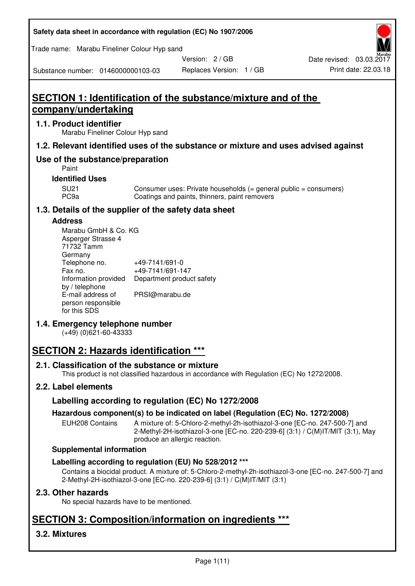| Safety data sheet in accordance with regulation (EC) No 1907/2006 |  |
|-------------------------------------------------------------------|--|
|-------------------------------------------------------------------|--|

Trade name: Marabu Fineliner Colour Hyp sand

Version: 2 / GB

Replaces Version: 1 / GB Print date: 22.03.18 Date revised: 03.03.2017

Substance number: 0146000000103-03

# **SECTION 1: Identification of the substance/mixture and of the company/undertaking**

# **1.1. Product identifier**

Marabu Fineliner Colour Hyp sand

# **1.2. Relevant identified uses of the substance or mixture and uses advised against**

# **Use of the substance/preparation**

Paint

# **Identified Uses**

SU21 Consumer uses: Private households (= general public = consumers)<br>PC9a Coatings and paints, thinners, paint removers Coatings and paints, thinners, paint removers

# **1.3. Details of the supplier of the safety data sheet**

# **Address**

| Marabu GmbH & Co. KG |                           |
|----------------------|---------------------------|
| Asperger Strasse 4   |                           |
| 71732 Tamm           |                           |
| Germany              |                           |
| Telephone no.        | +49-7141/691-0            |
| Fax no.              | +49-7141/691-147          |
| Information provided | Department product safety |
| by / telephone       |                           |
| E-mail address of    | PRSI@marabu.de            |
| person responsible   |                           |
| for this SDS         |                           |

# **1.4. Emergency telephone number**

(+49) (0)621-60-43333

# **SECTION 2: Hazards identification \*\*\***

# **2.1. Classification of the substance or mixture**

This product is not classified hazardous in accordance with Regulation (EC) No 1272/2008.

# **2.2. Label elements**

# **Labelling according to regulation (EC) No 1272/2008**

# **Hazardous component(s) to be indicated on label (Regulation (EC) No. 1272/2008)**

EUH208 Contains A mixture of: 5-Chloro-2-methyl-2h-isothiazol-3-one [EC-no. 247-500-7] and 2-Methyl-2H-isothiazol-3-one [EC-no. 220-239-6] (3:1) / C(M)IT/MIT (3:1), May produce an allergic reaction.

#### **Supplemental information**

# **Labelling according to regulation (EU) No 528/2012 \*\*\***

Contains a biocidal product. A mixture of: 5-Chloro-2-methyl-2h-isothiazol-3-one [EC-no. 247-500-7] and 2-Methyl-2H-isothiazol-3-one [EC-no. 220-239-6] (3:1) / C(M)IT/MIT (3:1)

# **2.3. Other hazards**

No special hazards have to be mentioned.

# **SECTION 3: Composition/information on ingredients \*\*\***

# **3.2. Mixtures**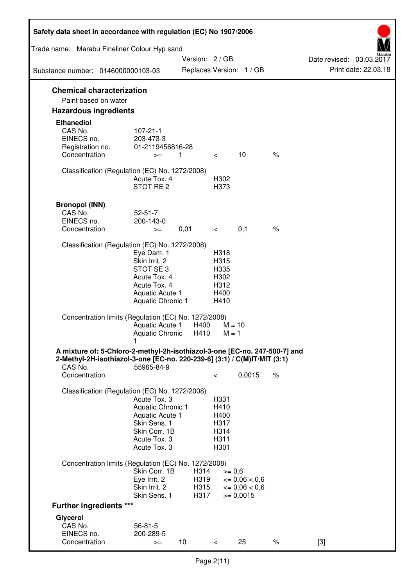| Safety data sheet in accordance with regulation (EC) No 1907/2006                                                                                                 |                                                                                                                             |                              |                                                      |                                                            |               |                                                  |
|-------------------------------------------------------------------------------------------------------------------------------------------------------------------|-----------------------------------------------------------------------------------------------------------------------------|------------------------------|------------------------------------------------------|------------------------------------------------------------|---------------|--------------------------------------------------|
| Trade name: Marabu Fineliner Colour Hyp sand                                                                                                                      |                                                                                                                             |                              |                                                      |                                                            |               |                                                  |
| Substance number: 0146000000103-03                                                                                                                                |                                                                                                                             | Version: 2/GB                |                                                      | Replaces Version: 1 / GB                                   |               | Date revised: 03.03.2017<br>Print date: 22.03.18 |
| <b>Chemical characterization</b>                                                                                                                                  |                                                                                                                             |                              |                                                      |                                                            |               |                                                  |
| Paint based on water                                                                                                                                              |                                                                                                                             |                              |                                                      |                                                            |               |                                                  |
| <b>Hazardous ingredients</b>                                                                                                                                      |                                                                                                                             |                              |                                                      |                                                            |               |                                                  |
| <b>Ethanediol</b><br>CAS No.<br>EINECS no.<br>Registration no.<br>Concentration                                                                                   | $107 - 21 - 1$<br>203-473-3<br>01-2119456816-28<br>$>=$                                                                     | 1.                           | $\lt$                                                | 10                                                         | $\%$          |                                                  |
| Classification (Regulation (EC) No. 1272/2008)                                                                                                                    | Acute Tox. 4<br>STOT RE <sub>2</sub>                                                                                        |                              | H302<br>H373                                         |                                                            |               |                                                  |
| <b>Bronopol (INN)</b><br>CAS No.<br>EINECS no.<br>Concentration                                                                                                   | $52 - 51 - 7$<br>200-143-0<br>$>=$                                                                                          | 0,01                         | $\lt$                                                | 0,1                                                        | $\frac{1}{6}$ |                                                  |
| Classification (Regulation (EC) No. 1272/2008)                                                                                                                    |                                                                                                                             |                              |                                                      |                                                            |               |                                                  |
|                                                                                                                                                                   | Eye Dam. 1<br>Skin Irrit. 2<br>STOT SE <sub>3</sub><br>Acute Tox. 4<br>Acute Tox. 4<br>Aquatic Acute 1<br>Aquatic Chronic 1 |                              | H318<br>H315<br>H335<br>H302<br>H312<br>H400<br>H410 |                                                            |               |                                                  |
| Concentration limits (Regulation (EC) No. 1272/2008)                                                                                                              | Aquatic Acute 1<br>Aquatic Chronic                                                                                          | H400<br>H410                 | $M = 10$<br>$M = 1$                                  |                                                            |               |                                                  |
| A mixture of: 5-Chloro-2-methyl-2h-isothiazol-3-one [EC-no. 247-500-7] and<br>2-Methyl-2H-isothiazol-3-one [EC-no. 220-239-6] (3:1) / C(M)IT/MIT (3:1)<br>CAS No. | 55965-84-9                                                                                                                  |                              |                                                      |                                                            |               |                                                  |
| Concentration                                                                                                                                                     |                                                                                                                             |                              | $\,<\,$                                              | 0,0015                                                     | $\%$          |                                                  |
| Classification (Regulation (EC) No. 1272/2008)                                                                                                                    | Acute Tox, 3<br>Aquatic Chronic 1<br>Aquatic Acute 1<br>Skin Sens. 1<br>Skin Corr. 1B<br>Acute Tox. 3<br>Acute Tox. 3       |                              | H331<br>H410<br>H400<br>H317<br>H314<br>H311<br>H301 |                                                            |               |                                                  |
| Concentration limits (Regulation (EC) No. 1272/2008)                                                                                                              |                                                                                                                             |                              |                                                      |                                                            |               |                                                  |
|                                                                                                                                                                   | Skin Corr. 1B<br>Eye Irrit. 2<br>Skin Irrit. 2<br>Skin Sens. 1                                                              | H314<br>H319<br>H315<br>H317 | $>= 0,6$                                             | $\epsilon = 0.06 < 0.6$<br>$\leq 0.06 < 0.6$<br>$= 0,0015$ |               |                                                  |
| <b>Further ingredients ***</b>                                                                                                                                    |                                                                                                                             |                              |                                                      |                                                            |               |                                                  |
| Glycerol<br>CAS No.<br>EINECS no.<br>Concentration                                                                                                                | $56 - 81 - 5$<br>200-289-5<br>$>=$                                                                                          | 10                           | $\lt$                                                | 25                                                         | $\%$          | $[3]$                                            |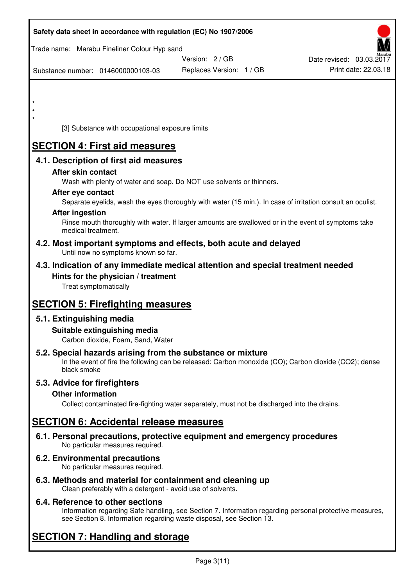| Safety data sheet in accordance with regulation (EC) No 1907/2006                                                       |                                                                                                            |                          |
|-------------------------------------------------------------------------------------------------------------------------|------------------------------------------------------------------------------------------------------------|--------------------------|
| Trade name: Marabu Fineliner Colour Hyp sand                                                                            |                                                                                                            |                          |
|                                                                                                                         | Version: 2 / GB                                                                                            | Date revised: 03.03.2017 |
| Substance number: 0146000000103-03                                                                                      | Replaces Version: 1 / GB                                                                                   | Print date: 22.03.18     |
|                                                                                                                         |                                                                                                            |                          |
| $\star$                                                                                                                 |                                                                                                            |                          |
| $\star$                                                                                                                 |                                                                                                            |                          |
| $\star$<br>[3] Substance with occupational exposure limits                                                              |                                                                                                            |                          |
| <b>SECTION 4: First aid measures</b>                                                                                    |                                                                                                            |                          |
| 4.1. Description of first aid measures                                                                                  |                                                                                                            |                          |
| After skin contact                                                                                                      |                                                                                                            |                          |
|                                                                                                                         | Wash with plenty of water and soap. Do NOT use solvents or thinners.                                       |                          |
| After eye contact                                                                                                       |                                                                                                            |                          |
|                                                                                                                         | Separate eyelids, wash the eyes thoroughly with water (15 min.). In case of irritation consult an oculist. |                          |
| <b>After ingestion</b>                                                                                                  | Rinse mouth thoroughly with water. If larger amounts are swallowed or in the event of symptoms take        |                          |
| medical treatment.                                                                                                      |                                                                                                            |                          |
| 4.2. Most important symptoms and effects, both acute and delayed<br>Until now no symptoms known so far.                 |                                                                                                            |                          |
| 4.3. Indication of any immediate medical attention and special treatment needed                                         |                                                                                                            |                          |
| Hints for the physician / treatment<br>Treat symptomatically                                                            |                                                                                                            |                          |
| <b>SECTION 5: Firefighting measures</b>                                                                                 |                                                                                                            |                          |
| 5.1. Extinguishing media                                                                                                |                                                                                                            |                          |
| Suitable extinguishing media                                                                                            |                                                                                                            |                          |
| Carbon dioxide, Foam, Sand, Water                                                                                       |                                                                                                            |                          |
| 5.2. Special hazards arising from the substance or mixture<br>black smoke                                               | In the event of fire the following can be released: Carbon monoxide (CO); Carbon dioxide (CO2); dense      |                          |
| 5.3. Advice for firefighters                                                                                            |                                                                                                            |                          |
| <b>Other information</b>                                                                                                |                                                                                                            |                          |
|                                                                                                                         | Collect contaminated fire-fighting water separately, must not be discharged into the drains.               |                          |
| <b>SECTION 6: Accidental release measures</b>                                                                           |                                                                                                            |                          |
| 6.1. Personal precautions, protective equipment and emergency procedures<br>No particular measures required.            |                                                                                                            |                          |
| 6.2. Environmental precautions<br>No particular measures required.                                                      |                                                                                                            |                          |
| 6.3. Methods and material for containment and cleaning up<br>Clean preferably with a detergent - avoid use of solvents. |                                                                                                            |                          |

# **6.4. Reference to other sections**

Information regarding Safe handling, see Section 7. Information regarding personal protective measures, see Section 8. Information regarding waste disposal, see Section 13.

# **SECTION 7: Handling and storage**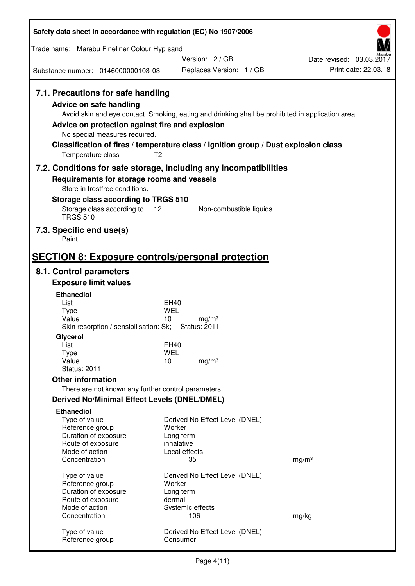| Safety data sheet in accordance with regulation (EC) No 1907/2006                                                                                                      |                                                                                                                                                                                                            |                          |
|------------------------------------------------------------------------------------------------------------------------------------------------------------------------|------------------------------------------------------------------------------------------------------------------------------------------------------------------------------------------------------------|--------------------------|
| Trade name: Marabu Fineliner Colour Hyp sand                                                                                                                           |                                                                                                                                                                                                            |                          |
|                                                                                                                                                                        | Version: 2/GB                                                                                                                                                                                              | Date revised: 03.03.2017 |
| Substance number: 0146000000103-03                                                                                                                                     | Replaces Version: 1 / GB                                                                                                                                                                                   | Print date: 22.03.18     |
| 7.1. Precautions for safe handling<br>Advice on safe handling<br>Advice on protection against fire and explosion<br>No special measures required.<br>Temperature class | Avoid skin and eye contact. Smoking, eating and drinking shall be prohibited in application area.<br>Classification of fires / temperature class / Ignition group / Dust explosion class<br>T <sub>2</sub> |                          |
|                                                                                                                                                                        | 7.2. Conditions for safe storage, including any incompatibilities                                                                                                                                          |                          |
| Requirements for storage rooms and vessels<br>Store in frostfree conditions.                                                                                           |                                                                                                                                                                                                            |                          |
| Storage class according to TRGS 510                                                                                                                                    |                                                                                                                                                                                                            |                          |
| Storage class according to<br><b>TRGS 510</b>                                                                                                                          | 12<br>Non-combustible liquids                                                                                                                                                                              |                          |
| 7.3. Specific end use(s)<br>Paint                                                                                                                                      |                                                                                                                                                                                                            |                          |
|                                                                                                                                                                        | <b>SECTION 8: Exposure controls/personal protection</b>                                                                                                                                                    |                          |
| 8.1. Control parameters                                                                                                                                                |                                                                                                                                                                                                            |                          |
| <b>Exposure limit values</b>                                                                                                                                           |                                                                                                                                                                                                            |                          |
| <b>Ethanediol</b><br>List                                                                                                                                              | EH40                                                                                                                                                                                                       |                          |
| <b>Type</b>                                                                                                                                                            | <b>WEL</b>                                                                                                                                                                                                 |                          |
| Value<br>Skin resorption / sensibilisation: Sk;                                                                                                                        | 10<br>mg/m <sup>3</sup><br><b>Status: 2011</b>                                                                                                                                                             |                          |
| Glycerol                                                                                                                                                               |                                                                                                                                                                                                            |                          |
| List                                                                                                                                                                   | EH40                                                                                                                                                                                                       |                          |
| <b>Type</b><br>Value                                                                                                                                                   | <b>WEL</b><br>10<br>mg/m <sup>3</sup>                                                                                                                                                                      |                          |
| <b>Status: 2011</b>                                                                                                                                                    |                                                                                                                                                                                                            |                          |
| <b>Other information</b>                                                                                                                                               |                                                                                                                                                                                                            |                          |
| There are not known any further control parameters.                                                                                                                    |                                                                                                                                                                                                            |                          |
| <b>Derived No/Minimal Effect Levels (DNEL/DMEL)</b><br><b>Ethanediol</b>                                                                                               |                                                                                                                                                                                                            |                          |
| Type of value                                                                                                                                                          | Derived No Effect Level (DNEL)                                                                                                                                                                             |                          |
| Reference group                                                                                                                                                        | Worker                                                                                                                                                                                                     |                          |
| Duration of exposure<br>Route of exposure                                                                                                                              | Long term<br>inhalative                                                                                                                                                                                    |                          |
| Mode of action                                                                                                                                                         | Local effects                                                                                                                                                                                              |                          |
| Concentration                                                                                                                                                          | 35                                                                                                                                                                                                         | mg/m <sup>3</sup>        |
| Type of value                                                                                                                                                          | Derived No Effect Level (DNEL)                                                                                                                                                                             |                          |
| Reference group                                                                                                                                                        | Worker                                                                                                                                                                                                     |                          |
| Duration of exposure<br>Route of exposure                                                                                                                              | Long term<br>dermal                                                                                                                                                                                        |                          |
| Mode of action                                                                                                                                                         | Systemic effects                                                                                                                                                                                           |                          |
| Concentration                                                                                                                                                          | 106                                                                                                                                                                                                        | mg/kg                    |
| Type of value<br>Reference group                                                                                                                                       | Derived No Effect Level (DNEL)<br>Consumer                                                                                                                                                                 |                          |
|                                                                                                                                                                        |                                                                                                                                                                                                            |                          |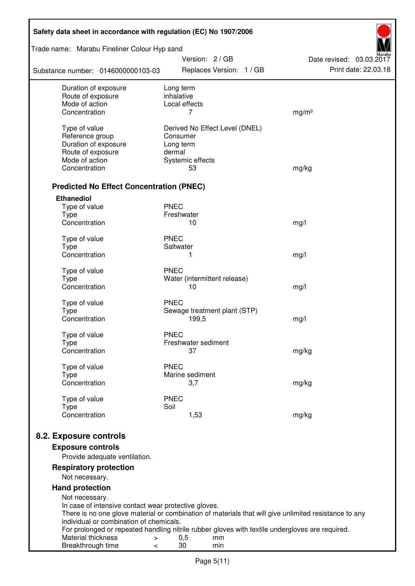| Safety data sheet in accordance with regulation (EC) No 1907/2006 |                                                                                                       |                                                  |  |  |
|-------------------------------------------------------------------|-------------------------------------------------------------------------------------------------------|--------------------------------------------------|--|--|
| Trade name: Marabu Fineliner Colour Hyp sand                      | Version: 2 / GB                                                                                       |                                                  |  |  |
| Substance number: 0146000000103-03                                | Replaces Version: 1 / GB                                                                              | Date revised: 03.03.2017<br>Print date: 22.03.18 |  |  |
| Duration of exposure<br>Route of exposure                         | Long term<br>inhalative                                                                               |                                                  |  |  |
| Mode of action                                                    | Local effects                                                                                         |                                                  |  |  |
| Concentration                                                     | 7                                                                                                     | mg/m <sup>3</sup>                                |  |  |
| Type of value                                                     | Derived No Effect Level (DNEL)                                                                        |                                                  |  |  |
| Reference group                                                   | Consumer                                                                                              |                                                  |  |  |
| Duration of exposure                                              | Long term                                                                                             |                                                  |  |  |
| Route of exposure                                                 | dermal                                                                                                |                                                  |  |  |
| Mode of action                                                    | Systemic effects                                                                                      |                                                  |  |  |
| Concentration                                                     | 53                                                                                                    | mg/kg                                            |  |  |
| <b>Predicted No Effect Concentration (PNEC)</b>                   |                                                                                                       |                                                  |  |  |
| <b>Ethanediol</b>                                                 |                                                                                                       |                                                  |  |  |
| Type of value                                                     | <b>PNEC</b>                                                                                           |                                                  |  |  |
| <b>Type</b>                                                       | Freshwater                                                                                            |                                                  |  |  |
| Concentration                                                     | 10                                                                                                    | mg/l                                             |  |  |
| Type of value                                                     | <b>PNEC</b>                                                                                           |                                                  |  |  |
| <b>Type</b>                                                       | Saltwater                                                                                             |                                                  |  |  |
| Concentration                                                     | 1                                                                                                     | mg/l                                             |  |  |
| Type of value                                                     | <b>PNEC</b>                                                                                           |                                                  |  |  |
| <b>Type</b>                                                       | Water (intermittent release)                                                                          |                                                  |  |  |
| Concentration                                                     | 10                                                                                                    | mg/l                                             |  |  |
| Type of value                                                     | <b>PNEC</b>                                                                                           |                                                  |  |  |
| <b>Type</b>                                                       | Sewage treatment plant (STP)                                                                          |                                                  |  |  |
| Concentration                                                     | 199,5                                                                                                 | mg/l                                             |  |  |
| Type of value                                                     | <b>PNEC</b>                                                                                           |                                                  |  |  |
| Type                                                              | Freshwater sediment                                                                                   |                                                  |  |  |
| Concentration                                                     | 37                                                                                                    | mg/kg                                            |  |  |
| Type of value                                                     | <b>PNEC</b>                                                                                           |                                                  |  |  |
| Type                                                              | Marine sediment                                                                                       |                                                  |  |  |
| Concentration                                                     | 3,7                                                                                                   | mg/kg                                            |  |  |
| Type of value                                                     | <b>PNEC</b>                                                                                           |                                                  |  |  |
| <b>Type</b><br>Concentration                                      | Soil<br>1,53                                                                                          | mg/kg                                            |  |  |
|                                                                   |                                                                                                       |                                                  |  |  |
| 8.2. Exposure controls                                            |                                                                                                       |                                                  |  |  |
| <b>Exposure controls</b>                                          |                                                                                                       |                                                  |  |  |
| Provide adequate ventilation.                                     |                                                                                                       |                                                  |  |  |
| <b>Respiratory protection</b><br>Not necessary.                   |                                                                                                       |                                                  |  |  |
| <b>Hand protection</b>                                            |                                                                                                       |                                                  |  |  |
| Not necessary.                                                    |                                                                                                       |                                                  |  |  |
| In case of intensive contact wear protective gloves.              |                                                                                                       |                                                  |  |  |
|                                                                   | There is no one glove material or combination of materials that will give unlimited resistance to any |                                                  |  |  |
| individual or combination of chemicals.                           | For prolonged or repeated handling nitrile rubber gloves with textile undergloves are required.       |                                                  |  |  |
| Material thickness<br>$\, > \,$                                   | 0,5<br>mm                                                                                             |                                                  |  |  |
| Breakthrough time<br>$\,<\,$                                      | 30<br>min                                                                                             |                                                  |  |  |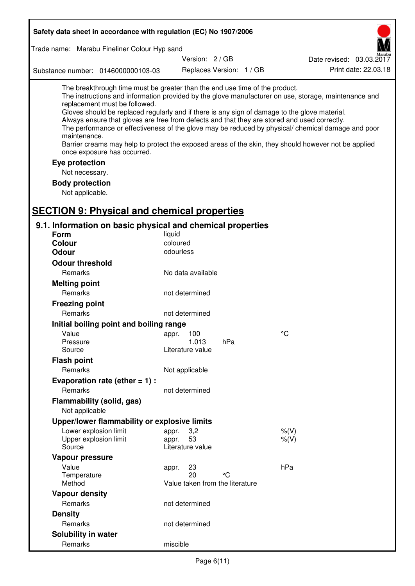| Safety data sheet in accordance with regulation (EC) No 1907/2006                                                                                                                                                                                                                                                                                                                                                                                                                                        |                                                      |                          |                                                                                                                                                                                                            |
|----------------------------------------------------------------------------------------------------------------------------------------------------------------------------------------------------------------------------------------------------------------------------------------------------------------------------------------------------------------------------------------------------------------------------------------------------------------------------------------------------------|------------------------------------------------------|--------------------------|------------------------------------------------------------------------------------------------------------------------------------------------------------------------------------------------------------|
| Trade name: Marabu Fineliner Colour Hyp sand                                                                                                                                                                                                                                                                                                                                                                                                                                                             |                                                      |                          |                                                                                                                                                                                                            |
|                                                                                                                                                                                                                                                                                                                                                                                                                                                                                                          | Version: 2 / GB                                      |                          | Date revised: 03.03.2017                                                                                                                                                                                   |
| Substance number: 0146000000103-03                                                                                                                                                                                                                                                                                                                                                                                                                                                                       |                                                      | Replaces Version: 1 / GB | Print date: 22.03.18                                                                                                                                                                                       |
| The breakthrough time must be greater than the end use time of the product.<br>replacement must be followed.<br>Gloves should be replaced regularly and if there is any sign of damage to the glove material.<br>Always ensure that gloves are free from defects and that they are stored and used correctly.<br>maintenance.<br>Barrier creams may help to protect the exposed areas of the skin, they should however not be applied<br>once exposure has occurred.<br>Eye protection<br>Not necessary. |                                                      |                          | The instructions and information provided by the glove manufacturer on use, storage, maintenance and<br>The performance or effectiveness of the glove may be reduced by physical/ chemical damage and poor |
| <b>Body protection</b>                                                                                                                                                                                                                                                                                                                                                                                                                                                                                   |                                                      |                          |                                                                                                                                                                                                            |
| Not applicable.                                                                                                                                                                                                                                                                                                                                                                                                                                                                                          |                                                      |                          |                                                                                                                                                                                                            |
|                                                                                                                                                                                                                                                                                                                                                                                                                                                                                                          |                                                      |                          |                                                                                                                                                                                                            |
| <b>SECTION 9: Physical and chemical properties</b>                                                                                                                                                                                                                                                                                                                                                                                                                                                       |                                                      |                          |                                                                                                                                                                                                            |
| 9.1. Information on basic physical and chemical properties<br><b>Form</b>                                                                                                                                                                                                                                                                                                                                                                                                                                | liquid                                               |                          |                                                                                                                                                                                                            |
| <b>Colour</b>                                                                                                                                                                                                                                                                                                                                                                                                                                                                                            | coloured                                             |                          |                                                                                                                                                                                                            |
| <b>Odour</b>                                                                                                                                                                                                                                                                                                                                                                                                                                                                                             | odourless                                            |                          |                                                                                                                                                                                                            |
| <b>Odour threshold</b>                                                                                                                                                                                                                                                                                                                                                                                                                                                                                   |                                                      |                          |                                                                                                                                                                                                            |
| Remarks                                                                                                                                                                                                                                                                                                                                                                                                                                                                                                  | No data available                                    |                          |                                                                                                                                                                                                            |
| <b>Melting point</b>                                                                                                                                                                                                                                                                                                                                                                                                                                                                                     |                                                      |                          |                                                                                                                                                                                                            |
| Remarks                                                                                                                                                                                                                                                                                                                                                                                                                                                                                                  | not determined                                       |                          |                                                                                                                                                                                                            |
| <b>Freezing point</b>                                                                                                                                                                                                                                                                                                                                                                                                                                                                                    |                                                      |                          |                                                                                                                                                                                                            |
| Remarks                                                                                                                                                                                                                                                                                                                                                                                                                                                                                                  | not determined                                       |                          |                                                                                                                                                                                                            |
| Initial boiling point and boiling range                                                                                                                                                                                                                                                                                                                                                                                                                                                                  |                                                      |                          |                                                                                                                                                                                                            |
| Value                                                                                                                                                                                                                                                                                                                                                                                                                                                                                                    | 100<br>appr.                                         |                          | $^{\circ}C$                                                                                                                                                                                                |
| Pressure<br>Source                                                                                                                                                                                                                                                                                                                                                                                                                                                                                       | 1.013<br>Literature value                            | hPa                      |                                                                                                                                                                                                            |
| <b>Flash point</b>                                                                                                                                                                                                                                                                                                                                                                                                                                                                                       |                                                      |                          |                                                                                                                                                                                                            |
| Remarks                                                                                                                                                                                                                                                                                                                                                                                                                                                                                                  | Not applicable                                       |                          |                                                                                                                                                                                                            |
| Evaporation rate (ether $= 1$ ) :                                                                                                                                                                                                                                                                                                                                                                                                                                                                        |                                                      |                          |                                                                                                                                                                                                            |
| Remarks                                                                                                                                                                                                                                                                                                                                                                                                                                                                                                  | not determined                                       |                          |                                                                                                                                                                                                            |
| Flammability (solid, gas)<br>Not applicable                                                                                                                                                                                                                                                                                                                                                                                                                                                              |                                                      |                          |                                                                                                                                                                                                            |
| Upper/lower flammability or explosive limits                                                                                                                                                                                                                                                                                                                                                                                                                                                             |                                                      |                          |                                                                                                                                                                                                            |
| Lower explosion limit<br>Upper explosion limit<br>Source                                                                                                                                                                                                                                                                                                                                                                                                                                                 | 3,2<br>appr.<br>53<br>appr.<br>Literature value      |                          | $%$ (V)<br>% (V)                                                                                                                                                                                           |
| Vapour pressure                                                                                                                                                                                                                                                                                                                                                                                                                                                                                          |                                                      |                          |                                                                                                                                                                                                            |
| Value<br>Temperature<br>Method                                                                                                                                                                                                                                                                                                                                                                                                                                                                           | 23<br>appr.<br>20<br>Value taken from the literature | °C                       | hPa                                                                                                                                                                                                        |
| <b>Vapour density</b>                                                                                                                                                                                                                                                                                                                                                                                                                                                                                    |                                                      |                          |                                                                                                                                                                                                            |
| Remarks                                                                                                                                                                                                                                                                                                                                                                                                                                                                                                  | not determined                                       |                          |                                                                                                                                                                                                            |
| <b>Density</b>                                                                                                                                                                                                                                                                                                                                                                                                                                                                                           |                                                      |                          |                                                                                                                                                                                                            |
| Remarks                                                                                                                                                                                                                                                                                                                                                                                                                                                                                                  | not determined                                       |                          |                                                                                                                                                                                                            |
| Solubility in water                                                                                                                                                                                                                                                                                                                                                                                                                                                                                      |                                                      |                          |                                                                                                                                                                                                            |
| Remarks                                                                                                                                                                                                                                                                                                                                                                                                                                                                                                  | miscible                                             |                          |                                                                                                                                                                                                            |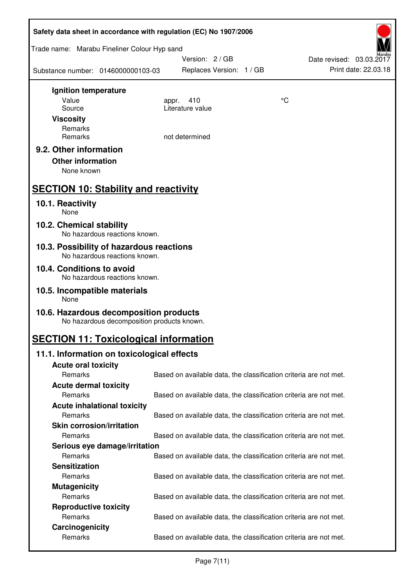| Safety data sheet in accordance with regulation (EC) No 1907/2006                    |                                                                   |    |                                                  |  |  |
|--------------------------------------------------------------------------------------|-------------------------------------------------------------------|----|--------------------------------------------------|--|--|
| Trade name: Marabu Fineliner Colour Hyp sand                                         |                                                                   |    |                                                  |  |  |
| Substance number: 0146000000103-03                                                   | Version: 2 / GB<br>Replaces Version: 1 / GB                       |    | Date revised: 03.03.2017<br>Print date: 22.03.18 |  |  |
| Ignition temperature                                                                 |                                                                   |    |                                                  |  |  |
| Value                                                                                | 410<br>appr.                                                      | °C |                                                  |  |  |
| Source                                                                               | Literature value                                                  |    |                                                  |  |  |
| <b>Viscosity</b><br>Remarks                                                          |                                                                   |    |                                                  |  |  |
| Remarks                                                                              | not determined                                                    |    |                                                  |  |  |
| 9.2. Other information<br><b>Other information</b><br>None known                     |                                                                   |    |                                                  |  |  |
| <b>SECTION 10: Stability and reactivity</b>                                          |                                                                   |    |                                                  |  |  |
| 10.1. Reactivity<br>None                                                             |                                                                   |    |                                                  |  |  |
| 10.2. Chemical stability<br>No hazardous reactions known.                            |                                                                   |    |                                                  |  |  |
| 10.3. Possibility of hazardous reactions<br>No hazardous reactions known.            |                                                                   |    |                                                  |  |  |
| 10.4. Conditions to avoid<br>No hazardous reactions known.                           |                                                                   |    |                                                  |  |  |
| 10.5. Incompatible materials<br>None                                                 |                                                                   |    |                                                  |  |  |
| 10.6. Hazardous decomposition products<br>No hazardous decomposition products known. |                                                                   |    |                                                  |  |  |
| <b>SECTION 11: Toxicological information</b>                                         |                                                                   |    |                                                  |  |  |
| 11.1. Information on toxicological effects                                           |                                                                   |    |                                                  |  |  |
| <b>Acute oral toxicity</b>                                                           |                                                                   |    |                                                  |  |  |
| Remarks                                                                              | Based on available data, the classification criteria are not met. |    |                                                  |  |  |
| <b>Acute dermal toxicity</b>                                                         |                                                                   |    |                                                  |  |  |
| Remarks                                                                              | Based on available data, the classification criteria are not met. |    |                                                  |  |  |
| <b>Acute inhalational toxicity</b>                                                   |                                                                   |    |                                                  |  |  |
| Remarks                                                                              | Based on available data, the classification criteria are not met. |    |                                                  |  |  |
| <b>Skin corrosion/irritation</b><br>Remarks                                          |                                                                   |    |                                                  |  |  |
|                                                                                      | Based on available data, the classification criteria are not met. |    |                                                  |  |  |
| Serious eye damage/irritation<br>Remarks                                             | Based on available data, the classification criteria are not met. |    |                                                  |  |  |
| <b>Sensitization</b>                                                                 |                                                                   |    |                                                  |  |  |
| Remarks                                                                              | Based on available data, the classification criteria are not met. |    |                                                  |  |  |
| <b>Mutagenicity</b>                                                                  |                                                                   |    |                                                  |  |  |
| Remarks                                                                              | Based on available data, the classification criteria are not met. |    |                                                  |  |  |
| <b>Reproductive toxicity</b>                                                         |                                                                   |    |                                                  |  |  |
| Remarks                                                                              | Based on available data, the classification criteria are not met. |    |                                                  |  |  |
| Carcinogenicity                                                                      |                                                                   |    |                                                  |  |  |
| Remarks                                                                              | Based on available data, the classification criteria are not met. |    |                                                  |  |  |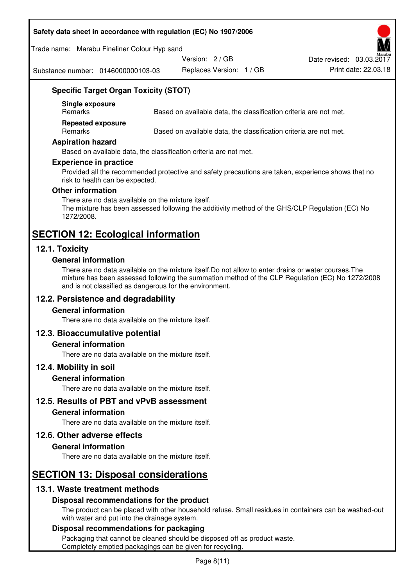#### **Safety data sheet in accordance with regulation (EC) No 1907/2006**

Trade name: Marabu Fineliner Colour Hyp sand

Version: 2 / GB

Date revised: 03.03.2017

Substance number: 0146000000103-03

Replaces Version: 1 / GB Print date: 22.03.18

# **Specific Target Organ Toxicity (STOT)**

**Single exposure** 

Based on available data, the classification criteria are not met.

**Repeated exposure** 

Remarks Based on available data, the classification criteria are not met.

#### **Aspiration hazard**

Based on available data, the classification criteria are not met.

#### **Experience in practice**

Provided all the recommended protective and safety precautions are taken, experience shows that no risk to health can be expected.

#### **Other information**

There are no data available on the mixture itself. The mixture has been assessed following the additivity method of the GHS/CLP Regulation (EC) No 1272/2008.

# **SECTION 12: Ecological information**

# **12.1. Toxicity**

#### **General information**

There are no data available on the mixture itself.Do not allow to enter drains or water courses.The mixture has been assessed following the summation method of the CLP Regulation (EC) No 1272/2008 and is not classified as dangerous for the environment.

# **12.2. Persistence and degradability**

#### **General information**

There are no data available on the mixture itself.

# **12.3. Bioaccumulative potential**

#### **General information**

There are no data available on the mixture itself.

#### **12.4. Mobility in soil**

#### **General information**

There are no data available on the mixture itself.

**12.5. Results of PBT and vPvB assessment** 

#### **General information**

There are no data available on the mixture itself.

#### **12.6. Other adverse effects**

#### **General information**

There are no data available on the mixture itself.

# **SECTION 13: Disposal considerations**

# **13.1. Waste treatment methods**

#### **Disposal recommendations for the product**

The product can be placed with other household refuse. Small residues in containers can be washed-out with water and put into the drainage system.

#### **Disposal recommendations for packaging**

Packaging that cannot be cleaned should be disposed off as product waste. Completely emptied packagings can be given for recycling.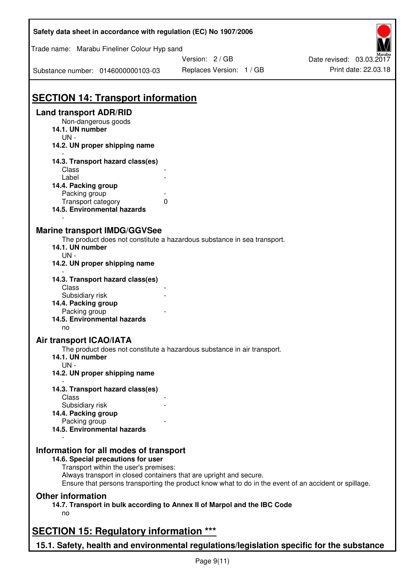| Safety data sheet in accordance with regulation (EC) No 1907/2006                                           |                                                                                                       |                                                  |  |  |
|-------------------------------------------------------------------------------------------------------------|-------------------------------------------------------------------------------------------------------|--------------------------------------------------|--|--|
| Trade name: Marabu Fineliner Colour Hyp sand                                                                | Version: 2/GB                                                                                         |                                                  |  |  |
| Substance number: 0146000000103-03                                                                          | Replaces Version: 1 / GB                                                                              | Date revised: 03.03.2017<br>Print date: 22.03.18 |  |  |
|                                                                                                             |                                                                                                       |                                                  |  |  |
| <b>SECTION 14: Transport information</b>                                                                    |                                                                                                       |                                                  |  |  |
| <b>Land transport ADR/RID</b><br>Non-dangerous goods<br>14.1. UN number<br>$UN -$                           |                                                                                                       |                                                  |  |  |
| 14.2. UN proper shipping name                                                                               |                                                                                                       |                                                  |  |  |
| 14.3. Transport hazard class(es)<br>Class                                                                   |                                                                                                       |                                                  |  |  |
| Label                                                                                                       |                                                                                                       |                                                  |  |  |
| 14.4. Packing group<br>Packing group                                                                        |                                                                                                       |                                                  |  |  |
| Transport category                                                                                          | $\Omega$                                                                                              |                                                  |  |  |
| 14.5. Environmental hazards                                                                                 |                                                                                                       |                                                  |  |  |
| <b>Marine transport IMDG/GGVSee</b>                                                                         |                                                                                                       |                                                  |  |  |
| 14.1. UN number                                                                                             | The product does not constitute a hazardous substance in sea transport.                               |                                                  |  |  |
| UN-                                                                                                         |                                                                                                       |                                                  |  |  |
| 14.2. UN proper shipping name                                                                               |                                                                                                       |                                                  |  |  |
| 14.3. Transport hazard class(es)<br>Class                                                                   |                                                                                                       |                                                  |  |  |
| Subsidiary risk<br>14.4. Packing group                                                                      |                                                                                                       |                                                  |  |  |
| Packing group                                                                                               |                                                                                                       |                                                  |  |  |
| 14.5. Environmental hazards<br>no                                                                           |                                                                                                       |                                                  |  |  |
| <b>Air transport ICAO/IATA</b>                                                                              |                                                                                                       |                                                  |  |  |
| 14.1. UN number<br>$UN -$                                                                                   | The product does not constitute a hazardous substance in air transport.                               |                                                  |  |  |
| 14.2. UN proper shipping name                                                                               |                                                                                                       |                                                  |  |  |
| 14.3. Transport hazard class(es)                                                                            |                                                                                                       |                                                  |  |  |
| Class<br>Subsidiary risk                                                                                    |                                                                                                       |                                                  |  |  |
| 14.4. Packing group                                                                                         |                                                                                                       |                                                  |  |  |
| Packing group<br>14.5. Environmental hazards                                                                |                                                                                                       |                                                  |  |  |
|                                                                                                             |                                                                                                       |                                                  |  |  |
| Information for all modes of transport                                                                      |                                                                                                       |                                                  |  |  |
| 14.6. Special precautions for user                                                                          |                                                                                                       |                                                  |  |  |
| Transport within the user's premises:<br>Always transport in closed containers that are upright and secure. |                                                                                                       |                                                  |  |  |
|                                                                                                             | Ensure that persons transporting the product know what to do in the event of an accident or spillage. |                                                  |  |  |
| <b>Other information</b>                                                                                    |                                                                                                       |                                                  |  |  |
| no                                                                                                          | 14.7. Transport in bulk according to Annex II of Marpol and the IBC Code                              |                                                  |  |  |
|                                                                                                             |                                                                                                       |                                                  |  |  |
| <b>SECTION 15: Regulatory information ***</b>                                                               |                                                                                                       |                                                  |  |  |
| 15.1. Safety, health and environmental regulations/legislation specific for the substance                   |                                                                                                       |                                                  |  |  |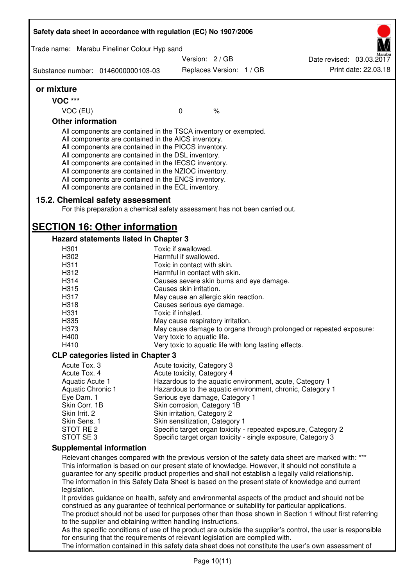|                                                                                                                                                                                                         | Trade name: Marabu Fineliner Colour Hyp sand                                                                                                                                                                                                                                                                                                                                                                                                                      |                                              |               |                                                              |                                                                                                              |
|---------------------------------------------------------------------------------------------------------------------------------------------------------------------------------------------------------|-------------------------------------------------------------------------------------------------------------------------------------------------------------------------------------------------------------------------------------------------------------------------------------------------------------------------------------------------------------------------------------------------------------------------------------------------------------------|----------------------------------------------|---------------|--------------------------------------------------------------|--------------------------------------------------------------------------------------------------------------|
|                                                                                                                                                                                                         |                                                                                                                                                                                                                                                                                                                                                                                                                                                                   | Version: 2/GB                                |               |                                                              | Date revised: 03.03.2017                                                                                     |
| Substance number: 0146000000103-03                                                                                                                                                                      |                                                                                                                                                                                                                                                                                                                                                                                                                                                                   | Replaces Version: 1 / GB                     |               |                                                              | Print date: 22.03.18                                                                                         |
| or mixture                                                                                                                                                                                              |                                                                                                                                                                                                                                                                                                                                                                                                                                                                   |                                              |               |                                                              |                                                                                                              |
| <b>VOC ***</b>                                                                                                                                                                                          |                                                                                                                                                                                                                                                                                                                                                                                                                                                                   |                                              |               |                                                              |                                                                                                              |
| VOC (EU)                                                                                                                                                                                                |                                                                                                                                                                                                                                                                                                                                                                                                                                                                   | $\mathbf 0$                                  | $\frac{1}{6}$ |                                                              |                                                                                                              |
| <b>Other information</b>                                                                                                                                                                                |                                                                                                                                                                                                                                                                                                                                                                                                                                                                   |                                              |               |                                                              |                                                                                                              |
|                                                                                                                                                                                                         | All components are contained in the TSCA inventory or exempted.<br>All components are contained in the AICS inventory.<br>All components are contained in the PICCS inventory.<br>All components are contained in the DSL inventory.<br>All components are contained in the IECSC inventory.<br>All components are contained in the NZIOC inventory.<br>All components are contained in the ENCS inventory.<br>All components are contained in the ECL inventory. |                                              |               |                                                              |                                                                                                              |
|                                                                                                                                                                                                         | 15.2. Chemical safety assessment<br>For this preparation a chemical safety assessment has not been carried out.                                                                                                                                                                                                                                                                                                                                                   |                                              |               |                                                              |                                                                                                              |
|                                                                                                                                                                                                         | <b>SECTION 16: Other information</b>                                                                                                                                                                                                                                                                                                                                                                                                                              |                                              |               |                                                              |                                                                                                              |
|                                                                                                                                                                                                         | Hazard statements listed in Chapter 3                                                                                                                                                                                                                                                                                                                                                                                                                             |                                              |               |                                                              |                                                                                                              |
| H301<br>H302                                                                                                                                                                                            |                                                                                                                                                                                                                                                                                                                                                                                                                                                                   | Toxic if swallowed.<br>Harmful if swallowed. |               |                                                              |                                                                                                              |
| H311                                                                                                                                                                                                    |                                                                                                                                                                                                                                                                                                                                                                                                                                                                   | Toxic in contact with skin.                  |               |                                                              |                                                                                                              |
| H312                                                                                                                                                                                                    |                                                                                                                                                                                                                                                                                                                                                                                                                                                                   | Harmful in contact with skin.                |               |                                                              |                                                                                                              |
| H314                                                                                                                                                                                                    |                                                                                                                                                                                                                                                                                                                                                                                                                                                                   |                                              |               | Causes severe skin burns and eye damage.                     |                                                                                                              |
| H315                                                                                                                                                                                                    |                                                                                                                                                                                                                                                                                                                                                                                                                                                                   | Causes skin irritation.                      |               |                                                              |                                                                                                              |
| H317                                                                                                                                                                                                    |                                                                                                                                                                                                                                                                                                                                                                                                                                                                   | May cause an allergic skin reaction.         |               |                                                              |                                                                                                              |
| H318                                                                                                                                                                                                    |                                                                                                                                                                                                                                                                                                                                                                                                                                                                   | Causes serious eye damage.                   |               |                                                              |                                                                                                              |
| H331                                                                                                                                                                                                    |                                                                                                                                                                                                                                                                                                                                                                                                                                                                   | Toxic if inhaled.                            |               |                                                              |                                                                                                              |
| H335                                                                                                                                                                                                    |                                                                                                                                                                                                                                                                                                                                                                                                                                                                   | May cause respiratory irritation.            |               |                                                              |                                                                                                              |
| H373                                                                                                                                                                                                    |                                                                                                                                                                                                                                                                                                                                                                                                                                                                   |                                              |               |                                                              | May cause damage to organs through prolonged or repeated exposure:                                           |
| H400                                                                                                                                                                                                    |                                                                                                                                                                                                                                                                                                                                                                                                                                                                   | Very toxic to aquatic life.                  |               |                                                              |                                                                                                              |
| H410                                                                                                                                                                                                    |                                                                                                                                                                                                                                                                                                                                                                                                                                                                   |                                              |               | Very toxic to aquatic life with long lasting effects.        |                                                                                                              |
|                                                                                                                                                                                                         | <b>CLP categories listed in Chapter 3</b>                                                                                                                                                                                                                                                                                                                                                                                                                         |                                              |               |                                                              |                                                                                                              |
| Acute Tox. 3                                                                                                                                                                                            |                                                                                                                                                                                                                                                                                                                                                                                                                                                                   | Acute toxicity, Category 3                   |               |                                                              |                                                                                                              |
| Acute Tox. 4                                                                                                                                                                                            |                                                                                                                                                                                                                                                                                                                                                                                                                                                                   | Acute toxicity, Category 4                   |               |                                                              |                                                                                                              |
| Aquatic Acute 1                                                                                                                                                                                         |                                                                                                                                                                                                                                                                                                                                                                                                                                                                   |                                              |               | Hazardous to the aquatic environment, acute, Category 1      |                                                                                                              |
| Aquatic Chronic 1                                                                                                                                                                                       |                                                                                                                                                                                                                                                                                                                                                                                                                                                                   |                                              |               | Hazardous to the aquatic environment, chronic, Category 1    |                                                                                                              |
| Eye Dam. 1                                                                                                                                                                                              |                                                                                                                                                                                                                                                                                                                                                                                                                                                                   | Serious eye damage, Category 1               |               |                                                              |                                                                                                              |
| Skin Corr. 1B                                                                                                                                                                                           |                                                                                                                                                                                                                                                                                                                                                                                                                                                                   | Skin corrosion, Category 1B                  |               |                                                              |                                                                                                              |
| Skin Irrit. 2                                                                                                                                                                                           |                                                                                                                                                                                                                                                                                                                                                                                                                                                                   | Skin irritation, Category 2                  |               |                                                              |                                                                                                              |
| Skin Sens. 1<br>STOT RE 2                                                                                                                                                                               |                                                                                                                                                                                                                                                                                                                                                                                                                                                                   | Skin sensitization, Category 1               |               |                                                              | Specific target organ toxicity - repeated exposure, Category 2                                               |
| STOT SE 3                                                                                                                                                                                               |                                                                                                                                                                                                                                                                                                                                                                                                                                                                   |                                              |               | Specific target organ toxicity - single exposure, Category 3 |                                                                                                              |
| <b>Supplemental information</b>                                                                                                                                                                         |                                                                                                                                                                                                                                                                                                                                                                                                                                                                   |                                              |               |                                                              |                                                                                                              |
|                                                                                                                                                                                                         |                                                                                                                                                                                                                                                                                                                                                                                                                                                                   |                                              |               |                                                              | Relevant changes compared with the previous version of the safety data sheet are marked with: ***            |
|                                                                                                                                                                                                         |                                                                                                                                                                                                                                                                                                                                                                                                                                                                   |                                              |               |                                                              |                                                                                                              |
| This information is based on our present state of knowledge. However, it should not constitute a<br>guarantee for any specific product properties and shall not establish a legally valid relationship. |                                                                                                                                                                                                                                                                                                                                                                                                                                                                   |                                              |               |                                                              |                                                                                                              |
|                                                                                                                                                                                                         |                                                                                                                                                                                                                                                                                                                                                                                                                                                                   |                                              |               |                                                              | The information in this Safety Data Sheet is based on the present state of knowledge and current             |
| legislation.                                                                                                                                                                                            |                                                                                                                                                                                                                                                                                                                                                                                                                                                                   |                                              |               |                                                              |                                                                                                              |
|                                                                                                                                                                                                         |                                                                                                                                                                                                                                                                                                                                                                                                                                                                   |                                              |               |                                                              | It provides guidance on health, safety and environmental aspects of the product and should not be            |
| construed as any guarantee of technical performance or suitability for particular applications.                                                                                                         |                                                                                                                                                                                                                                                                                                                                                                                                                                                                   |                                              |               |                                                              |                                                                                                              |
| The product should not be used for purposes other than those shown in Section 1 without first referring                                                                                                 |                                                                                                                                                                                                                                                                                                                                                                                                                                                                   |                                              |               |                                                              |                                                                                                              |
|                                                                                                                                                                                                         | to the supplier and obtaining written handling instructions.                                                                                                                                                                                                                                                                                                                                                                                                      |                                              |               |                                                              |                                                                                                              |
|                                                                                                                                                                                                         |                                                                                                                                                                                                                                                                                                                                                                                                                                                                   |                                              |               |                                                              | As the specific conditions of use of the product are outside the supplier's control, the user is responsible |
|                                                                                                                                                                                                         | for ensuring that the requirements of relevant legislation are complied with.                                                                                                                                                                                                                                                                                                                                                                                     |                                              |               |                                                              |                                                                                                              |